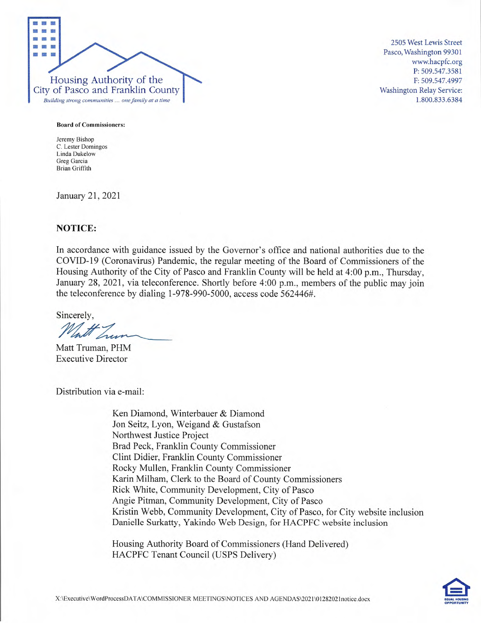

2505 West Lewis Street Pasco, Washington 99301 www.hacpfc.org P: 509.547.3581 F: 509.547.4997 Washington Relay Service: 1.800.833.6384

#### Board of Commissioners:

Jeremy Bishop C. Lester Domingos Linda Dukelow Greg Garcia Brian Griffith

January 21, 2021

#### **NOTICE:**

In accordance with guidance issued by the Governor's office and national authorities due to the COVID- 19 (Coronavirus) Pandemic, the regular meeting of the Board of Commissioners of the Housing Authority of the City of Pasco and Franklin County will be held at 4:00 p.m., Thursday, January 28, 2021, via teleconference. Shortly before 4:00 p.m., members of the public may join the teleconference by dialing 1-978-990-5000, access code 562446#.

Sincerely,

Matt Truman, PHM Executive Director

Distribution via e-mail:

Ken Diamond, Winterbauer & Diamond Jon Seitz, Lyon, Weigand & Gustafson Northwest Justice Project Brad Peck, Franklin County Commissioner Clint Didier, Franklin County Commissioner Rocky Mullen, Franklin County Commissioner Karin Milham, Clerk to the Board of County Commissioners Rick White, Community Development, City of Pasco Angie Pitman, Community Development, City of Pasco Kristin Webb, Community Development, City of Pasco, for City website inclusion Danielle Surkatty, Yakindo Web Design, for HACPFC website inclusion

Housing Authority Board of Commissioners (Hand Delivered) HACPFC Tenant Council (USPS Delivery)

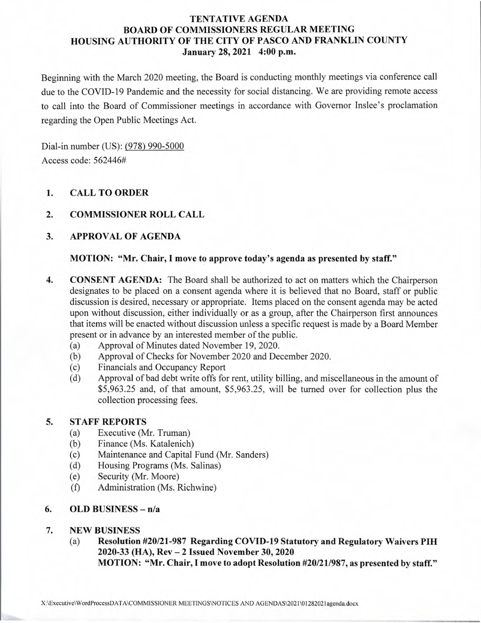# **TENTATIVE AGENDA BOARD OF COMMISSIONERS REGULAR MEETING HOUSING AUTHORITY OF THE CITY OF PASCO AND FRANKLIN COUNTY January 28, 2021 4:00 p.m.**

Beginning with the March 2020 meeting, the Board is conducting monthly meetings via conference call due to the COVID-19 Pandemic and the necessity for social distancing. We are providing remote access to call into the Board of Commissioner meetings in accordance with Governor Inslee's proclamation regarding the Open Public Meetings Act.

Dial-in number (US): (978) 990-5000 Access code: *562446#* 

# **1. CALL TO ORDER**

# **2. COMMISSIONER ROLL CALL**

# **3. APPROVAL OF AGENDA**

### **MOTION: "Mr. Chair, I move to approve today's agenda as presented by** *staff."*

- **4. CONSENT AGENDA:** The Board shall be authorized to act on matters which the Chairperson designates to be placed on a consent agenda where it is believed that no Board, staff or public discussion is desired, necessary or appropriate. Items placed on the consent agenda may be acted upon without discussion, either individually or as a group, after the Chairperson first announces that items will be enacted without discussion unless a specific request is made by a Board Member present or in advance by an interested member of the public.
	- (a) Approval of Minutes dated November 19, 2020.
	- (b) Approval of Checks for November 2020 and December 2020.
	- (c) Financials and Occupancy Report
	- (d) Approval of bad debt write offs for rent, utility billing, and miscellaneous in the amount of *\$5,963.25* and, of that amount, *\$5,963.25,* will be turned over for collection plus the collection processing fees.

# **5. STAFF REPORTS**

- (a) Executive (Mr. Truman)
- (b) Finance (Ms. Katalenich)
- (c) Maintenance and Capital Fund (Mr. Sanders)
- (d) Housing Programs (Ms. Salinas)
- (e) Security (Mr. Moore)
- (f) Administration (Ms. Richwine)

# **6. OLD BUSINESS** - **n/a**

# *7.* **NEW BUSINESS**

(a) Resolution **#20/21-987 Regarding COVID-19 Statutory and Regulatory Waivers PIH 2020-33 (HA), Rev —2 Issued November 30, 2020** 

**MOTION: "Mr. Chair, I move to adopt Resolution #20/21/987, as presented by staff."**